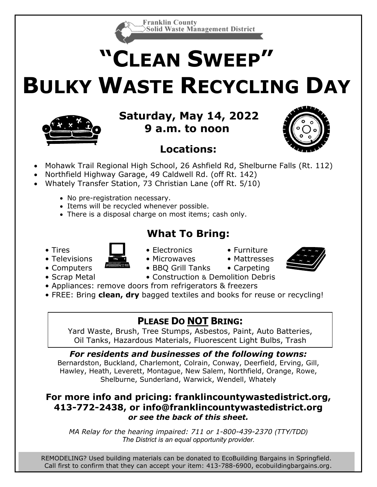

# **"CLEAN SWEEP" BULKY WASTE RECYCLING DAY**



*for residents of the following towns:* **Saturday, May 14, 2022 Difference** of the Salem, to noon  $\begin{bmatrix} \begin{bmatrix} 0 & 0 \end{bmatrix} \end{bmatrix}$ Shelburne, Sunderland, Wendell, Wendell, Wendell, Whatelson, Wendell, Whatelson, W

## **Locations:**



- Northfield Highway Garage, 49 Caldwell Rd. (off Rt. 142)
	- Whately Transfer Station, 73 Christian Lane (off Rt. 5/10)
		- No pre-registration necessary.
		- Items will be recycled whenever possible.
		- There is a disposal charge on most items; cash only.

## **What To Bring:**



- Tires  **Electronics** Furniture
	-
- Televisions  $\bullet$  **•** Microwaves Mattresses



- -
- Computers  **BBO** Grill Tanks Carpeting • Scrap Metal • Construction & Demolition Debris
- Appliances: remove doors from refrigerators & freezers
- FREE: Bring **clean, dry** bagged textiles and books for reuse or recycling!

## **PLEASE DO NOT BRING:**

Yard Waste, Brush, Tree Stumps, Asbestos, Paint, Auto Batteries, Oil Tanks, Hazardous Materials, Fluorescent Light Bulbs, Trash

*For residents and businesses of the following towns:* Bernardston, Buckland, Charlemont, Colrain, Conway, Deerfield, Erving, Gill, Hawley, Heath, Leverett, Montague, New Salem, Northfield, Orange, Rowe, Shelburne, Sunderland, Warwick, Wendell, Whately

#### **For more info and pricing: franklincountywastedistrict.org, 413-772-2438, or [info@franklincountywastedistrict.org](mailto:info@franklincountywastedistrict.org)** *or see the back of this sheet.*

*MA Relay for the hearing impaired: 711 or 1-800-439-2370 (TTY/TDD) The District is an equal opportunity provider.*

REMODELING? Used building materials can be donated to EcoBuilding Bargains in Springfield. Call first to confirm that they can accept your item: 413-788-6900, ecobuildingbargains.org.